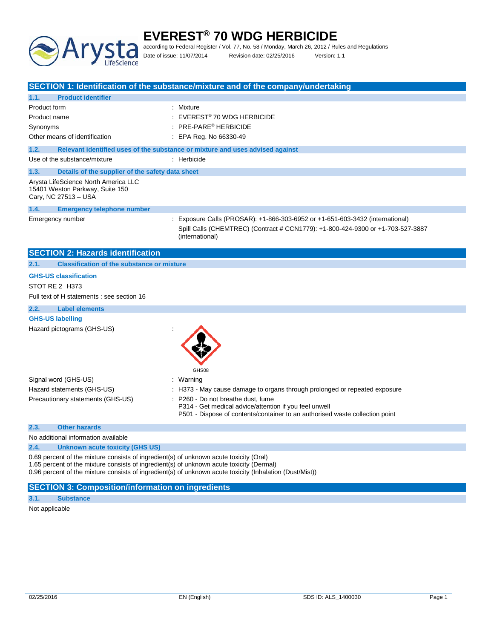

# **EVEREST® 70 WDG HERBICIDE** according to Federal Register / Vol. 77, No. 58 / Monday, March 26, 2012 / Rules and Regulations

Date of issue: 11/07/2014 Revision date: 02/25/2016 Version: 1.1

|                                                                                                                                                                                                                                                                                                | SECTION 1: Identification of the substance/mixture and of the company/undertaking                                                                                                   |
|------------------------------------------------------------------------------------------------------------------------------------------------------------------------------------------------------------------------------------------------------------------------------------------------|-------------------------------------------------------------------------------------------------------------------------------------------------------------------------------------|
| 1.1.<br><b>Product identifier</b>                                                                                                                                                                                                                                                              |                                                                                                                                                                                     |
| Product form                                                                                                                                                                                                                                                                                   | : Mixture                                                                                                                                                                           |
| Product name                                                                                                                                                                                                                                                                                   | EVEREST <sup>®</sup> 70 WDG HERBICIDE                                                                                                                                               |
| Synonyms                                                                                                                                                                                                                                                                                       | PRE-PARE <sup>®</sup> HERBICIDE                                                                                                                                                     |
| Other means of identification<br>$\therefore$ EPA Reg. No 66330-49                                                                                                                                                                                                                             |                                                                                                                                                                                     |
| 1.2.                                                                                                                                                                                                                                                                                           | Relevant identified uses of the substance or mixture and uses advised against                                                                                                       |
| Use of the substance/mixture                                                                                                                                                                                                                                                                   | : Herbicide                                                                                                                                                                         |
|                                                                                                                                                                                                                                                                                                |                                                                                                                                                                                     |
| Details of the supplier of the safety data sheet<br>1.3.                                                                                                                                                                                                                                       |                                                                                                                                                                                     |
| Arysta LifeScience North America LLC<br>15401 Weston Parkway, Suite 150<br>Cary, NC 27513 - USA                                                                                                                                                                                                |                                                                                                                                                                                     |
| 1.4.<br><b>Emergency telephone number</b>                                                                                                                                                                                                                                                      |                                                                                                                                                                                     |
| Emergency number                                                                                                                                                                                                                                                                               | : Exposure Calls (PROSAR): +1-866-303-6952 or +1-651-603-3432 (international)<br>Spill Calls (CHEMTREC) (Contract # CCN1779): +1-800-424-9300 or +1-703-527-3887<br>(international) |
| <b>SECTION 2: Hazards identification</b>                                                                                                                                                                                                                                                       |                                                                                                                                                                                     |
| <b>Classification of the substance or mixture</b><br>2.1.                                                                                                                                                                                                                                      |                                                                                                                                                                                     |
| <b>GHS-US classification</b>                                                                                                                                                                                                                                                                   |                                                                                                                                                                                     |
| STOT RE 2 H373                                                                                                                                                                                                                                                                                 |                                                                                                                                                                                     |
| Full text of H statements : see section 16                                                                                                                                                                                                                                                     |                                                                                                                                                                                     |
| 2.2.<br><b>Label elements</b>                                                                                                                                                                                                                                                                  |                                                                                                                                                                                     |
| <b>GHS-US labelling</b>                                                                                                                                                                                                                                                                        |                                                                                                                                                                                     |
| Hazard pictograms (GHS-US)                                                                                                                                                                                                                                                                     | GHS08                                                                                                                                                                               |
| Signal word (GHS-US)                                                                                                                                                                                                                                                                           | : Warning                                                                                                                                                                           |
| Hazard statements (GHS-US)                                                                                                                                                                                                                                                                     | H373 - May cause damage to organs through prolonged or repeated exposure                                                                                                            |
| Precautionary statements (GHS-US)                                                                                                                                                                                                                                                              | P260 - Do not breathe dust, fume<br>P314 - Get medical advice/attention if you feel unwell<br>P501 - Dispose of contents/container to an authorised waste collection point          |
| <b>Other hazards</b><br>2.3.                                                                                                                                                                                                                                                                   |                                                                                                                                                                                     |
| No additional information available                                                                                                                                                                                                                                                            |                                                                                                                                                                                     |
| 2.4.<br><b>Unknown acute toxicity (GHS US)</b>                                                                                                                                                                                                                                                 |                                                                                                                                                                                     |
| 0.69 percent of the mixture consists of ingredient(s) of unknown acute toxicity (Oral)<br>1.65 percent of the mixture consists of ingredient(s) of unknown acute toxicity (Dermal)<br>0.96 percent of the mixture consists of ingredient(s) of unknown acute toxicity (Inhalation (Dust/Mist)) |                                                                                                                                                                                     |
| <b>SECTION 3: Composition/information on ingredients</b>                                                                                                                                                                                                                                       |                                                                                                                                                                                     |
| 3.1.<br><b>Substance</b>                                                                                                                                                                                                                                                                       |                                                                                                                                                                                     |

Not applicable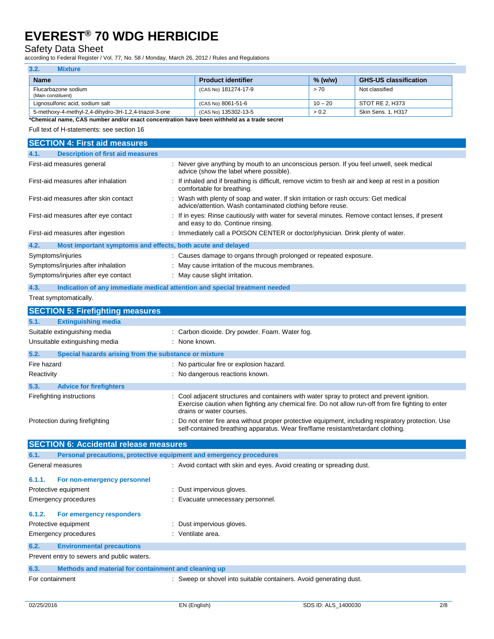### Safety Data Sheet

according to Federal Register / Vol. 77, No. 58 / Monday, March 26, 2012 / Rules and Regulations

| 3.2.<br>Mixture                                       |                           |           |                              |
|-------------------------------------------------------|---------------------------|-----------|------------------------------|
| <b>Name</b>                                           | <b>Product identifier</b> | $%$ (w/w) | <b>GHS-US classification</b> |
| Flucarbazone sodium<br>(Main constituent)             | (CAS No) 181274-17-9      | > 70      | Not classified               |
| Lignosulfonic acid, sodium salt                       | (CAS No) 8061-51-6        | $10 - 20$ | STOT RE 2. H373              |
| 5-methoxy-4-methyl-2,4-dihydro-3H-1,2,4-triazol-3-one | (CAS No) 135302-13-5      | > 0.2     | Skin Sens. 1, H317           |

**\*Chemical name, CAS number and/or exact concentration have been withheld as a trade secret**

Full text of H-statements: see section 16

| <b>SECTION 4: First aid measures</b>                                               |                                                                                                                                                                                                                               |
|------------------------------------------------------------------------------------|-------------------------------------------------------------------------------------------------------------------------------------------------------------------------------------------------------------------------------|
| 4.1.<br><b>Description of first aid measures</b>                                   |                                                                                                                                                                                                                               |
| First-aid measures general                                                         | : Never give anything by mouth to an unconscious person. If you feel unwell, seek medical<br>advice (show the label where possible).                                                                                          |
| First-aid measures after inhalation                                                | : If inhaled and if breathing is difficult, remove victim to fresh air and keep at rest in a position<br>comfortable for breathing.                                                                                           |
| First-aid measures after skin contact                                              | : Wash with plenty of soap and water. If skin irritation or rash occurs: Get medical<br>advice/attention. Wash contaminated clothing before reuse.                                                                            |
| First-aid measures after eye contact                                               | : If in eyes: Rinse cautiously with water for several minutes. Remove contact lenses, if present<br>and easy to do. Continue rinsing.                                                                                         |
| First-aid measures after ingestion                                                 | : Immediately call a POISON CENTER or doctor/physician. Drink plenty of water.                                                                                                                                                |
| 4.2.<br>Most important symptoms and effects, both acute and delayed                |                                                                                                                                                                                                                               |
| Symptoms/injuries                                                                  | : Causes damage to organs through prolonged or repeated exposure.                                                                                                                                                             |
| Symptoms/injuries after inhalation                                                 | May cause irritation of the mucous membranes.                                                                                                                                                                                 |
| Symptoms/injuries after eye contact                                                | : May cause slight irritation.                                                                                                                                                                                                |
|                                                                                    |                                                                                                                                                                                                                               |
| 4.3.<br>Indication of any immediate medical attention and special treatment needed |                                                                                                                                                                                                                               |
| Treat symptomatically.                                                             |                                                                                                                                                                                                                               |
| <b>SECTION 5: Firefighting measures</b>                                            |                                                                                                                                                                                                                               |
| 5.1.<br><b>Extinguishing media</b>                                                 |                                                                                                                                                                                                                               |
| Suitable extinguishing media                                                       | : Carbon dioxide. Dry powder. Foam. Water fog.                                                                                                                                                                                |
| Unsuitable extinguishing media                                                     | : None known.                                                                                                                                                                                                                 |
| 5.2.<br>Special hazards arising from the substance or mixture                      |                                                                                                                                                                                                                               |
| Fire hazard                                                                        | : No particular fire or explosion hazard.                                                                                                                                                                                     |
| Reactivity                                                                         | : No dangerous reactions known.                                                                                                                                                                                               |
|                                                                                    |                                                                                                                                                                                                                               |
| 5.3.<br><b>Advice for firefighters</b>                                             |                                                                                                                                                                                                                               |
| Firefighting instructions                                                          | : Cool adjacent structures and containers with water spray to protect and prevent ignition.<br>Exercise caution when fighting any chemical fire. Do not allow run-off from fire fighting to enter<br>drains or water courses. |
| Protection during firefighting                                                     | Do not enter fire area without proper protective equipment, including respiratory protection. Use<br>self-contained breathing apparatus. Wear fire/flame resistant/retardant clothing.                                        |
| <b>SECTION 6: Accidental release measures</b>                                      |                                                                                                                                                                                                                               |
| Personal precautions, protective equipment and emergency procedures<br>6.1.        |                                                                                                                                                                                                                               |
| General measures                                                                   | : Avoid contact with skin and eyes. Avoid creating or spreading dust.                                                                                                                                                         |
|                                                                                    |                                                                                                                                                                                                                               |
| 6.1.1.<br>For non-emergency personnel                                              |                                                                                                                                                                                                                               |
| Protective equipment                                                               | : Dust impervious gloves.                                                                                                                                                                                                     |
| Emergency procedures                                                               | Evacuate unnecessary personnel.                                                                                                                                                                                               |
| 6.1.2.<br>For emergency responders                                                 |                                                                                                                                                                                                                               |
| Protective equipment                                                               | : Dust impervious gloves.                                                                                                                                                                                                     |
| Emergency procedures                                                               | : Ventilate area.                                                                                                                                                                                                             |
| 6.2.<br><b>Environmental precautions</b>                                           |                                                                                                                                                                                                                               |
| Prevent entry to sewers and public waters.                                         |                                                                                                                                                                                                                               |
| 6.3.<br>Methods and material for containment and cleaning up                       |                                                                                                                                                                                                                               |
| For containment                                                                    | : Sweep or shovel into suitable containers. Avoid generating dust.                                                                                                                                                            |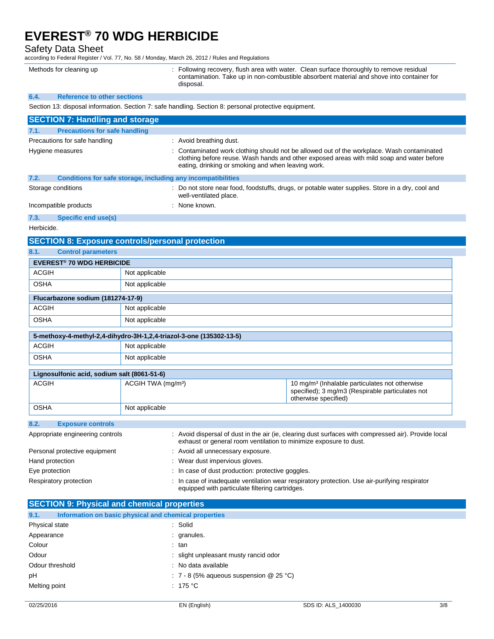Safety Data Sheet

according to Federal Register / Vol. 77, No. 58 / Monday, March 26, 2012 / Rules and Regulations

Methods for cleaning up **intercovery**, flush area with water. Clean surface thoroughly to remove residual contamination. Take up in non-combustible absorbent material and shove into container for disposal.

#### **6.4. Reference to other sections**

Section 13: disposal information. Section 7: safe handling. Section 8: personal protective equipment.

| <b>SECTION 7: Handling and storage</b>                                                                                                                                                                                                                            |                                                                                                                                                                          |                                                                   |                                                                                                      |
|-------------------------------------------------------------------------------------------------------------------------------------------------------------------------------------------------------------------------------------------------------------------|--------------------------------------------------------------------------------------------------------------------------------------------------------------------------|-------------------------------------------------------------------|------------------------------------------------------------------------------------------------------|
| 7.1.                                                                                                                                                                                                                                                              |                                                                                                                                                                          |                                                                   |                                                                                                      |
| <b>Precautions for safe handling</b><br>Precautions for safe handling<br>: Avoid breathing dust.                                                                                                                                                                  |                                                                                                                                                                          |                                                                   |                                                                                                      |
| : Contaminated work clothing should not be allowed out of the workplace. Wash contaminated<br>Hygiene measures<br>clothing before reuse. Wash hands and other exposed areas with mild soap and water before<br>eating, drinking or smoking and when leaving work. |                                                                                                                                                                          |                                                                   |                                                                                                      |
| 7.2.                                                                                                                                                                                                                                                              |                                                                                                                                                                          | Conditions for safe storage, including any incompatibilities      |                                                                                                      |
| Storage conditions                                                                                                                                                                                                                                                | : Do not store near food, foodstuffs, drugs, or potable water supplies. Store in a dry, cool and<br>well-ventilated place.                                               |                                                                   |                                                                                                      |
| Incompatible products                                                                                                                                                                                                                                             |                                                                                                                                                                          | : None known.                                                     |                                                                                                      |
| 7.3.<br>Specific end use(s)                                                                                                                                                                                                                                       |                                                                                                                                                                          |                                                                   |                                                                                                      |
| Herbicide.                                                                                                                                                                                                                                                        |                                                                                                                                                                          |                                                                   |                                                                                                      |
| <b>SECTION 8: Exposure controls/personal protection</b>                                                                                                                                                                                                           |                                                                                                                                                                          |                                                                   |                                                                                                      |
| 8.1.<br><b>Control parameters</b>                                                                                                                                                                                                                                 |                                                                                                                                                                          |                                                                   |                                                                                                      |
| <b>EVEREST<sup>®</sup> 70 WDG HERBICIDE</b>                                                                                                                                                                                                                       |                                                                                                                                                                          |                                                                   |                                                                                                      |
| ACGIH                                                                                                                                                                                                                                                             | Not applicable                                                                                                                                                           |                                                                   |                                                                                                      |
| OSHA                                                                                                                                                                                                                                                              | Not applicable                                                                                                                                                           |                                                                   |                                                                                                      |
| Flucarbazone sodium (181274-17-9)                                                                                                                                                                                                                                 |                                                                                                                                                                          |                                                                   |                                                                                                      |
| <b>ACGIH</b>                                                                                                                                                                                                                                                      | Not applicable                                                                                                                                                           |                                                                   |                                                                                                      |
| OSHA                                                                                                                                                                                                                                                              | Not applicable                                                                                                                                                           |                                                                   |                                                                                                      |
| 5-methoxy-4-methyl-2,4-dihydro-3H-1,2,4-triazol-3-one (135302-13-5)                                                                                                                                                                                               |                                                                                                                                                                          |                                                                   |                                                                                                      |
| ACGIH                                                                                                                                                                                                                                                             | Not applicable                                                                                                                                                           |                                                                   |                                                                                                      |
| OSHA                                                                                                                                                                                                                                                              | Not applicable                                                                                                                                                           |                                                                   |                                                                                                      |
|                                                                                                                                                                                                                                                                   |                                                                                                                                                                          |                                                                   |                                                                                                      |
| Lignosulfonic acid, sodium salt (8061-51-6)<br><b>ACGIH</b>                                                                                                                                                                                                       |                                                                                                                                                                          |                                                                   |                                                                                                      |
|                                                                                                                                                                                                                                                                   | ACGIH TWA (mg/m <sup>3</sup> )<br>10 mg/m <sup>3</sup> (Inhalable particulates not otherwise<br>specified); 3 mg/m3 (Respirable particulates not<br>otherwise specified) |                                                                   |                                                                                                      |
| OSHA                                                                                                                                                                                                                                                              | Not applicable                                                                                                                                                           |                                                                   |                                                                                                      |
| 8.2.<br><b>Exposure controls</b>                                                                                                                                                                                                                                  |                                                                                                                                                                          |                                                                   |                                                                                                      |
| Appropriate engineering controls                                                                                                                                                                                                                                  |                                                                                                                                                                          | exhaust or general room ventilation to minimize exposure to dust. | : Avoid dispersal of dust in the air (ie, clearing dust surfaces with compressed air). Provide local |
| Personal protective equipment                                                                                                                                                                                                                                     |                                                                                                                                                                          | : Avoid all unnecessary exposure.                                 |                                                                                                      |
| Hand protection                                                                                                                                                                                                                                                   | : Wear dust impervious gloves.                                                                                                                                           |                                                                   |                                                                                                      |
| Eye protection                                                                                                                                                                                                                                                    | In case of dust production: protective goggles                                                                                                                           |                                                                   |                                                                                                      |
| : In case of inadequate ventilation wear respiratory protection. Use air-purifying respirator<br>Respiratory protection<br>equipped with particulate filtering cartridges.                                                                                        |                                                                                                                                                                          |                                                                   |                                                                                                      |
| <b>SECTION 9: Physical and chemical properties</b>                                                                                                                                                                                                                |                                                                                                                                                                          |                                                                   |                                                                                                      |
| 9.1.<br>Information on basic physical and chemical properties                                                                                                                                                                                                     |                                                                                                                                                                          |                                                                   |                                                                                                      |
| Physical state                                                                                                                                                                                                                                                    |                                                                                                                                                                          | : Solid                                                           |                                                                                                      |
| Appearance                                                                                                                                                                                                                                                        |                                                                                                                                                                          | granules.                                                         |                                                                                                      |
| Colour<br>tan                                                                                                                                                                                                                                                     |                                                                                                                                                                          |                                                                   |                                                                                                      |
| Odour<br>slight unpleasant musty rancid odor                                                                                                                                                                                                                      |                                                                                                                                                                          |                                                                   |                                                                                                      |
| : No data available<br>Odour threshold                                                                                                                                                                                                                            |                                                                                                                                                                          |                                                                   |                                                                                                      |
| : 7 - 8 (5% aqueous suspension $@$ 25 °C)<br>рH                                                                                                                                                                                                                   |                                                                                                                                                                          |                                                                   |                                                                                                      |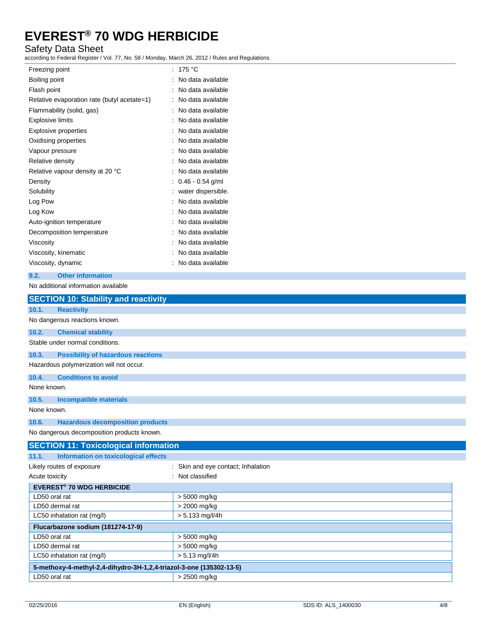### Safety Data Sheet

according to Federal Register / Vol. 77, No. 58 / Monday, March 26, 2012 / Rules and Regulations

| Freezing point                              | : 175 $^{\circ}$ C |
|---------------------------------------------|--------------------|
| Boiling point                               | No data available  |
| Flash point                                 | No data available  |
| Relative evaporation rate (butyl acetate=1) | No data available  |
| Flammability (solid, gas)                   | No data available  |
| <b>Explosive limits</b>                     | No data available  |
| <b>Explosive properties</b>                 | No data available  |
| Oxidising properties                        | No data available  |
| Vapour pressure                             | No data available  |
| Relative density                            | No data available  |
| Relative vapour density at 20 °C            | No data available  |
| Density                                     | $0.46 - 0.54$ g/ml |
| Solubility                                  | water dispersible. |
| Log Pow                                     | No data available  |
| Log Kow                                     | No data available  |
| Auto-ignition temperature                   | No data available  |
| Decomposition temperature                   | No data available  |
| Viscosity                                   | No data available  |
| Viscosity, kinematic                        | No data available  |
| Viscosity, dynamic                          | No data available  |
|                                             |                    |

#### **9.2. Other information**

No additional information available

|                                 | <b>SECTION 10: Stability and reactivity</b>                         |                                    |
|---------------------------------|---------------------------------------------------------------------|------------------------------------|
| 10.1.<br><b>Reactivity</b>      |                                                                     |                                    |
| No dangerous reactions known.   |                                                                     |                                    |
| 10.2.                           | <b>Chemical stability</b>                                           |                                    |
| Stable under normal conditions. |                                                                     |                                    |
| 10.3.                           | <b>Possibility of hazardous reactions</b>                           |                                    |
|                                 | Hazardous polymerization will not occur.                            |                                    |
| 10.4.                           | <b>Conditions to avoid</b>                                          |                                    |
| None known.                     |                                                                     |                                    |
| 10.5.                           | <b>Incompatible materials</b>                                       |                                    |
| None known.                     |                                                                     |                                    |
| 10.6.                           | <b>Hazardous decomposition products</b>                             |                                    |
|                                 | No dangerous decomposition products known.                          |                                    |
|                                 | <b>SECTION 11: Toxicological information</b>                        |                                    |
| 11.1.                           | <b>Information on toxicological effects</b>                         |                                    |
| Likely routes of exposure       |                                                                     | : Skin and eye contact; Inhalation |
| Acute toxicity                  |                                                                     | : Not classified                   |
|                                 | <b>EVEREST<sup>®</sup> 70 WDG HERBICIDE</b>                         |                                    |
| LD50 oral rat                   |                                                                     | > 5000 mg/kg                       |
| LD50 dermal rat                 |                                                                     | > 2000 mg/kg                       |
| LC50 inhalation rat (mg/l)      |                                                                     | $> 5.133$ mg/l/4h                  |
|                                 | Flucarbazone sodium (181274-17-9)                                   |                                    |
| LD50 oral rat                   |                                                                     | > 5000 mg/kg                       |
| LD50 dermal rat                 |                                                                     | > 5000 mg/kg                       |
| LC50 inhalation rat (mg/l)      |                                                                     | $> 5.13$ mg/l/4h                   |
|                                 | 5-methoxy-4-methyl-2,4-dihydro-3H-1,2,4-triazol-3-one (135302-13-5) |                                    |

LD50 oral rat  $\vert$  > 2500 mg/kg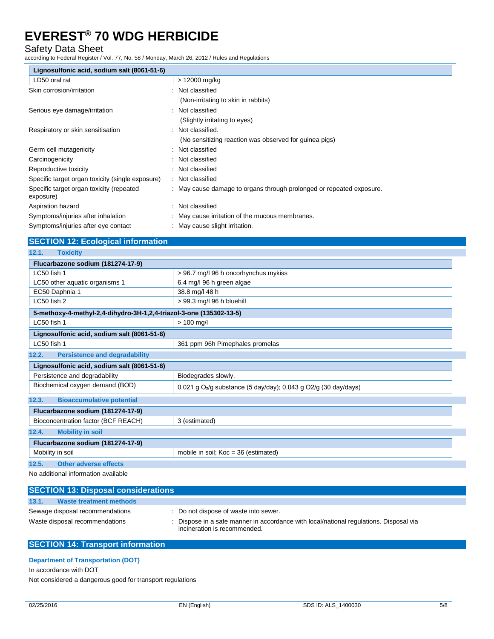### Safety Data Sheet

according to Federal Register / Vol. 77, No. 58 / Monday, March 26, 2012 / Rules and Regulations

| Lignosulfonic acid, sodium salt (8061-51-6)           |                                                                      |
|-------------------------------------------------------|----------------------------------------------------------------------|
| LD50 oral rat                                         | > 12000 mg/kg                                                        |
| Skin corrosion/irritation                             | : Not classified                                                     |
|                                                       | (Non-irritating to skin in rabbits)                                  |
| Serious eye damage/irritation                         | : Not classified                                                     |
|                                                       | (Slightly irritating to eyes)                                        |
| Respiratory or skin sensitisation                     | Not classified.                                                      |
|                                                       | (No sensitizing reaction was observed for guinea pigs)               |
| Germ cell mutagenicity                                | : Not classified                                                     |
| Carcinogenicity                                       | : Not classified                                                     |
| Reproductive toxicity                                 | Not classified                                                       |
| Specific target organ toxicity (single exposure)      | : Not classified                                                     |
| Specific target organ toxicity (repeated<br>exposure) | : May cause damage to organs through prolonged or repeated exposure. |
| Aspiration hazard                                     | : Not classified                                                     |
| Symptoms/injuries after inhalation                    | : May cause irritation of the mucous membranes.                      |
| Symptoms/injuries after eye contact                   | : May cause slight irritation.                                       |

### **SECTION 12: Ecological information**

| Flucarbazone sodium (181274-17-9)                                   |                                                                                 |
|---------------------------------------------------------------------|---------------------------------------------------------------------------------|
| LC50 fish 1                                                         | > 96.7 mg/l 96 h oncorhynchus mykiss                                            |
| LC50 other aquatic organisms 1                                      | 6.4 mg/l 96 h green algae                                                       |
| EC50 Daphnia 1                                                      | 38.8 mg/l 48 h                                                                  |
| LC50 fish 2                                                         | > 99.3 mg/l 96 h bluehill                                                       |
| 5-methoxy-4-methyl-2,4-dihydro-3H-1,2,4-triazol-3-one (135302-13-5) |                                                                                 |
| LC50 fish 1                                                         | $> 100$ mg/l                                                                    |
| Lignosulfonic acid, sodium salt (8061-51-6)                         |                                                                                 |
| LC50 fish 1                                                         | 361 ppm 96h Pimephales promelas                                                 |
| 12.2.<br><b>Persistence and degradability</b>                       |                                                                                 |
| Lignosulfonic acid, sodium salt (8061-51-6)                         |                                                                                 |
| Persistence and degradability                                       | Biodegrades slowly.                                                             |
| Biochemical oxygen demand (BOD)                                     | $0.021$ g O <sub>2</sub> /g substance (5 day/day); $0.043$ g O2/g (30 day/days) |
| 12.3.<br><b>Bioaccumulative potential</b>                           |                                                                                 |
| Flucarbazone sodium (181274-17-9)                                   |                                                                                 |
| Bioconcentration factor (BCF REACH)                                 | 3 (estimated)                                                                   |
| 12.4.<br><b>Mobility in soil</b>                                    |                                                                                 |
| Flucarbazone sodium (181274-17-9)                                   |                                                                                 |
| Mobility in soil                                                    | mobile in soil; $Koc = 36$ (estimated)                                          |
| 12.5.<br><b>Other adverse effects</b>                               |                                                                                 |

No additional information available

| <b>SECTION 13: Disposal considerations</b>                        |                                                                                                                                                               |
|-------------------------------------------------------------------|---------------------------------------------------------------------------------------------------------------------------------------------------------------|
| 13.1.<br>Waste treatment methods                                  |                                                                                                                                                               |
| Sewage disposal recommendations<br>Waste disposal recommendations | : Do not dispose of waste into sewer.<br>Dispose in a safe manner in accordance with local/national regulations. Disposal via<br>incineration is recommended. |

### **SECTION 14: Transport information**

**Department of Transportation (DOT)**

In accordance with DOT

Not considered a dangerous good for transport regulations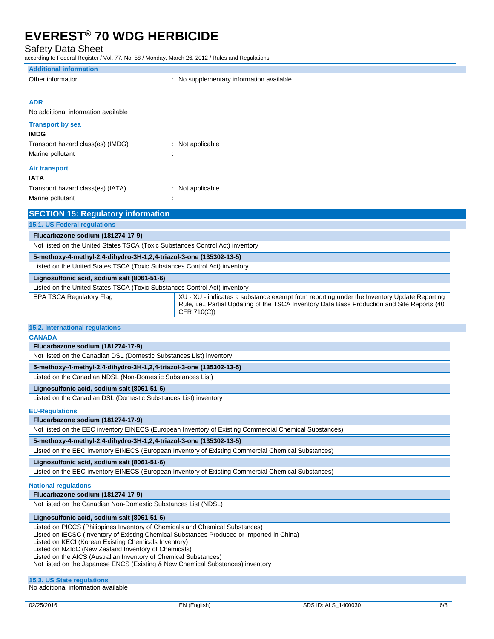Safety Data Sheet

according to Federal Register / Vol. 77, No. 58 / Monday, March 26, 2012 / Rules and Regulations

### **Additional information**

|  | Other information |
|--|-------------------|
|--|-------------------|

: No supplementary information available.

#### **ADR**

No additional information available

#### **Transport by sea**

| <b>IMDG</b>                       |                    |
|-----------------------------------|--------------------|
| Transport hazard class(es) (IMDG) | $:$ Not applicable |
| Marine pollutant                  | ٠<br>٠             |
| <b>Air transport</b>              |                    |
| IATA                              |                    |

| Transport hazard class(es) (IATA) | $:$ Not applicable |
|-----------------------------------|--------------------|
| Marine pollutant                  |                    |

| <b>SECTION 15: Regulatory information</b>                                     |                                                                                                                                                                                                           |
|-------------------------------------------------------------------------------|-----------------------------------------------------------------------------------------------------------------------------------------------------------------------------------------------------------|
| 15.1. US Federal regulations                                                  |                                                                                                                                                                                                           |
| Flucarbazone sodium (181274-17-9)                                             |                                                                                                                                                                                                           |
| Not listed on the United States TSCA (Toxic Substances Control Act) inventory |                                                                                                                                                                                                           |
| 5-methoxy-4-methyl-2,4-dihydro-3H-1,2,4-triazol-3-one (135302-13-5)           |                                                                                                                                                                                                           |
| Listed on the United States TSCA (Toxic Substances Control Act) inventory     |                                                                                                                                                                                                           |
| Lignosulfonic acid, sodium salt (8061-51-6)                                   |                                                                                                                                                                                                           |
| Listed on the United States TSCA (Toxic Substances Control Act) inventory     |                                                                                                                                                                                                           |
| EPA TSCA Regulatory Flag                                                      | XU - XU - indicates a substance exempt from reporting under the Inventory Update Reporting<br>Rule, i.e., Partial Updating of the TSCA Inventory Data Base Production and Site Reports (40<br>CFR 710(C)) |

#### **15.2. International regulations**

#### **CANADA**

**Flucarbazone sodium (181274-17-9)** Not listed on the Canadian DSL (Domestic Substances List) inventory

**5-methoxy-4-methyl-2,4-dihydro-3H-1,2,4-triazol-3-one (135302-13-5)**

Listed on the Canadian NDSL (Non-Domestic Substances List)

#### **Lignosulfonic acid, sodium salt (8061-51-6)**

Listed on the Canadian DSL (Domestic Substances List) inventory

#### **EU-Regulations**

**Flucarbazone sodium (181274-17-9)**

Not listed on the EEC inventory EINECS (European Inventory of Existing Commercial Chemical Substances)

#### **5-methoxy-4-methyl-2,4-dihydro-3H-1,2,4-triazol-3-one (135302-13-5)**

Listed on the EEC inventory EINECS (European Inventory of Existing Commercial Chemical Substances)

#### **Lignosulfonic acid, sodium salt (8061-51-6)**

Listed on the EEC inventory EINECS (European Inventory of Existing Commercial Chemical Substances)

#### **National regulations**

**Flucarbazone sodium (181274-17-9)**

Not listed on the Canadian Non-Domestic Substances List (NDSL)

#### **Lignosulfonic acid, sodium salt (8061-51-6)**

Listed on PICCS (Philippines Inventory of Chemicals and Chemical Substances)

Listed on IECSC (Inventory of Existing Chemical Substances Produced or Imported in China)

Listed on KECI (Korean Existing Chemicals Inventory)

Listed on NZIoC (New Zealand Inventory of Chemicals)

Listed on the AICS (Australian Inventory of Chemical Substances)

Not listed on the Japanese ENCS (Existing & New Chemical Substances) inventory

#### **15.3. US State regulations**

No additional information available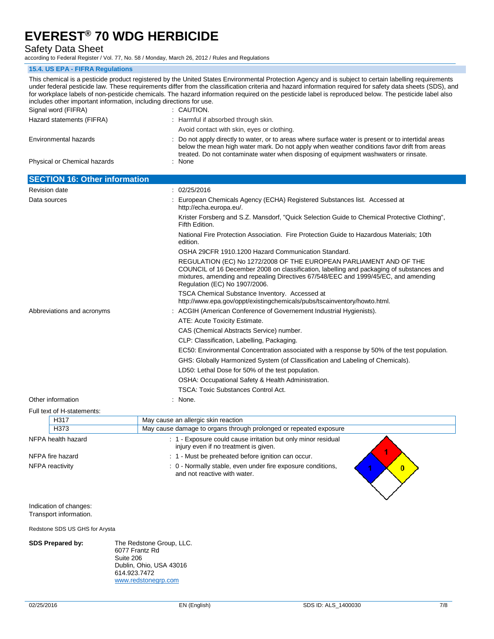Safety Data Sheet

according to Federal Register / Vol. 77, No. 58 / Monday, March 26, 2012 / Rules and Regulations

#### **15.4. US EPA - FIFRA Regulations**

This chemical is a pesticide product registered by the United States Environmental Protection Agency and is subject to certain labelling requirements under federal pesticide law. These requirements differ from the classification criteria and hazard information required for safety data sheets (SDS), and for workplace labels of non-pesticide chemicals. The hazard information required on the pesticide label is reproduced below. The pesticide label also includes other important information, including directions for use. Signal word (FIFRA) : CAUTION. Hazard statements (FIFRA) : Harmful if absorbed through skin. Avoid contact with skin, eyes or clothing. Environmental hazards : Do not apply directly to water, or to areas where surface water is present or to intertidal areas below the mean high water mark. Do not apply when weather conditions favor drift from areas treated. Do not contaminate water when disposing of equipment washwaters or rinsate. Physical or Chemical hazards : None **SECTION 16: Other information** Revision date : 02/25/2016 Data sources **State Substances In the Contract Contract Chemicals Agency (ECHA) Registered Substances list. Accessed at** http://echa.europa.eu/. Krister Forsberg and S.Z. Mansdorf, "Quick Selection Guide to Chemical Protective Clothing", Fifth Edition. National Fire Protection Association. Fire Protection Guide to Hazardous Materials; 10th edition. OSHA 29CFR 1910.1200 Hazard Communication Standard. REGULATION (EC) No 1272/2008 OF THE EUROPEAN PARLIAMENT AND OF THE COUNCIL of 16 December 2008 on classification, labelling and packaging of substances and mixtures, amending and repealing Directives 67/548/EEC and 1999/45/EC, and amending Regulation (EC) No 1907/2006. TSCA Chemical Substance Inventory. Accessed at http://www.epa.gov/oppt/existingchemicals/pubs/tscainventory/howto.html. Abbreviations and acronyms : ACGIH (American Conference of Governement Industrial Hygienists). ATE: Acute Toxicity Estimate. CAS (Chemical Abstracts Service) number. CLP: Classification, Labelling, Packaging. EC50: Environmental Concentration associated with a response by 50% of the test population. GHS: Globally Harmonized System (of Classification and Labeling of Chemicals). LD50: Lethal Dose for 50% of the test population. OSHA: Occupational Safety & Health Administration. TSCA: Toxic Substances Control Act. Other information : None. Full text of H-statements: H317 May cause an allergic skin reaction H373 May cause damage to organs through prolonged or repeated exposure NFPA health hazard **in the state of the Could** cause irritation but only minor residual injury even if no treatment is given. NFPA fire hazard **in the state of the state of the state of the state of the state of the state of the state of the state of the state of the state of the state of the state of the state of the state of the state of the st** NFPA reactivity in the stable of the stable, even under fire exposure conditions,  $\overline{0}$ and not reactive with water. Indication of changes: Transport information.

Redstone SDS US GHS for Arysta

**SDS Prepared by:** The Redstone Group, LLC. 6077 Frantz Rd Suite 206 Dublin, Ohio, USA 43016 614.923.7472 www.redstonegrp.com